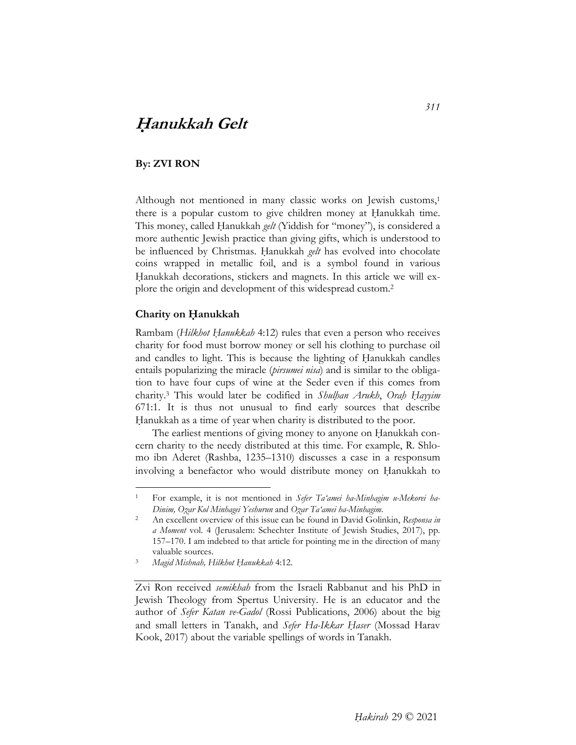# **<sup>H</sup>***̣***anukkah Gelt**

### **By: ZVI RON**

Although not mentioned in many classic works on Jewish customs,<sup>1</sup> there is a popular custom to give children money at Hanukkah time. This money, called Hanukkah *gelt* (Yiddish for "money"), is considered a more authentic Jewish practice than giving gifts, which is understood to be influenced by Christmas. Hanukkah *gelt* has evolved into chocolate coins wrapped in metallic foil, and is a symbol found in various Hanukkah decorations, stickers and magnets. In this article we will explore the origin and development of this widespread custom.2

#### **Charity on Ḥanukkah**

 $\ddot{\phantom{a}}$ 

Rambam (*Hilkhot Ḥanukkah* 4:12) rules that even a person who receives charity for food must borrow money or sell his clothing to purchase oil and candles to light. This is because the lighting of Hanukkah candles entails popularizing the miracle (*pirsumei nisa*) and is similar to the obligation to have four cups of wine at the Seder even if this comes from charity.3 This would later be codified in *Shulḥan Arukh*, *Oraḥ Ḥayyim* 671:1. It is thus not unusual to find early sources that describe Hanukkah as a time of year when charity is distributed to the poor.

The earliest mentions of giving money to anyone on Hanukkah concern charity to the needy distributed at this time. For example, R. Shlomo ibn Aderet (Rashba, 1235–1310) discusses a case in a responsum involving a benefactor who would distribute money on Hanukkah to

For example, it is not mentioned in *Sefer Ta'amei ha-Minhagim u-Mekorei ha-*

*Dinim, Ozar Kol Minhagei Yeshurun* and *Ozar Ta'amei ha-Minhagim*.<br>An excellent overview of this issue can be found in David Golinkin, *Responsa in a Moment* vol. 4 (Jerusalem: Schechter Institute of Jewish Studies, 2017), pp. 157–170. I am indebted to that article for pointing me in the direction of many valuable sources. 3 *Magid Mishnah, Hilkhot Ḥanukkah* 4:12.

Zvi Ron received *semikhah* from the Israeli Rabbanut and his PhD in Jewish Theology from Spertus University. He is an educator and the author of *Sefer Katan ve-Gadol* (Rossi Publications, 2006) about the big and small letters in Tanakh, and *Sefer Ha-Ikkar Ḥaser* (Mossad Harav Kook, 2017) about the variable spellings of words in Tanakh.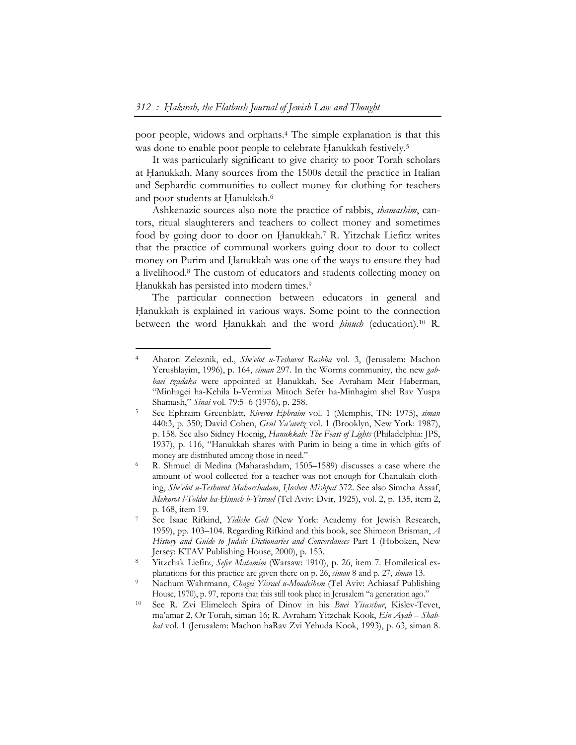poor people, widows and orphans.4 The simple explanation is that this was done to enable poor people to celebrate Hanukkah festively.<sup>5</sup>

It was particularly significant to give charity to poor Torah scholars at Hanukkah. Many sources from the 1500s detail the practice in Italian and Sephardic communities to collect money for clothing for teachers and poor students at Hanukkah.<sup>6</sup>

Ashkenazic sources also note the practice of rabbis, *shamashim*, cantors, ritual slaughterers and teachers to collect money and sometimes food by going door to door on Hanukkah.<sup>7</sup> R. Yitzchak Liefitz writes that the practice of communal workers going door to door to collect money on Purim and Hanukkah was one of the ways to ensure they had a livelihood.8 The custom of educators and students collecting money on Hanukkah has persisted into modern times.<sup>9</sup>

The particular connection between educators in general and Hanukkah is explained in various ways. Some point to the connection between the word Ḥanukkah and the word *ḥinuch* (education).10 R.

 $\overline{a}$ 

<sup>4</sup> Aharon Zeleznik, ed., *She'elot u-Teshuvot Rashba* vol. 3, (Jerusalem: Machon Yerushlayim, 1996), p. 164, *siman* 297. In the Worms community, the new *gab*baei tzadaka were appointed at Hanukkah. See Avraham Meir Haberman, "Minhagei ha-Kehila b-Vermiza Mitoch Sefer ha-Minhagim shel Rav Yuspa

Shamash," *Sinai* vol. 79:5–6 (1976), p. 258.<br>See Ephraim Greenblatt, *Rivevos Ephraim* vol. 1 (Memphis, TN: 1975), *siman* 440:3, p. 350; David Cohen, *Gvul Ya'avetz* vol. 1 (Brooklyn, New York: 1987), p. 158. See also Sidney Hoenig, *Hanukkah: The Feast of Lights* (Philadelphia: JPS, 1937), p. 116, "Hanukkah shares with Purim in being a time in which gifts of money are distributed among those in need."

<sup>6</sup> R. Shmuel di Medina (Maharashdam, 1505–1589) discusses a case where the amount of wool collected for a teacher was not enough for Chanukah clothing, *She'elot u-Teshuvot Maharshadam*, *Ḥoshen Mishpat* 372. See also Simcha Assaf, *Mekorot l-Toldot ha-Ḥinuch b-Yisrael* (Tel Aviv: Dvir, 1925), vol. 2, p. 135, item 2, p. 168, item 19.<br>See Isaac Rifkind, *Yidishe Gelt* (New York: Academy for Jewish Research,

<sup>1959),</sup> pp. 103–104. Regarding Rifkind and this book, see Shimeon Brisman, *A History and Guide to Judaic Dictionaries and Concordances* Part 1 (Hoboken, New

Jersey: KTAV Publishing House, 2000), p. 153.<br>Yitzchak Liefitz, *Sefer Matamim* (Warsaw: 1910), p. 26, item 7. Homiletical explanations for this practice are given there on p. 26, *siman* 8 and p. 27, *siman* 13. 9 Nachum Wahrmann, *Chagei Yisrael u-Moadeihem* (Tel Aviv: Achiasaf Publishing

House, 1970), p. 97, reports that this still took place in Jerusalem "a generation ago."

<sup>10</sup> See R. Zvi Elimelech Spira of Dinov in his *Bnei Yisaschar*, Kislev-Tevet, ma'amar 2, Or Torah, siman 16; R. Avraham Yitzchak Kook, *Ein Ayah – Shabbat* vol. 1 (Jerusalem: Machon haRav Zvi Yehuda Kook, 1993), p. 63, siman 8.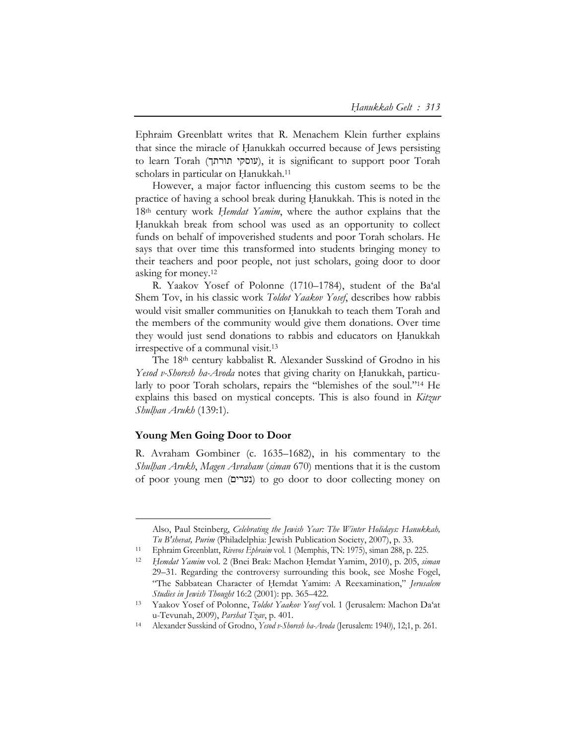Ephraim Greenblatt writes that R. Menachem Klein further explains that since the miracle of Ḥanukkah occurred because of Jews persisting to learn Torah (עוסקי תורתך), it is significant to support poor Torah scholars in particular on Hanukkah.<sup>11</sup>

However, a major factor influencing this custom seems to be the practice of having a school break during Hanukkah. This is noted in the 18th century work *Ḥemdat Yamim*, where the author explains that the Hanukkah break from school was used as an opportunity to collect funds on behalf of impoverished students and poor Torah scholars. He says that over time this transformed into students bringing money to their teachers and poor people, not just scholars, going door to door asking for money.12

R. Yaakov Yosef of Polonne (1710–1784), student of the Ba'al Shem Tov, in his classic work *Toldot Yaakov Yosef*, describes how rabbis would visit smaller communities on Hanukkah to teach them Torah and the members of the community would give them donations. Over time they would just send donations to rabbis and educators on Hanukkah irrespective of a communal visit.13

The 18th century kabbalist R. Alexander Susskind of Grodno in his *Yesod v-Shoresh ha-Avoda* notes that giving charity on Hanukkah, particularly to poor Torah scholars, repairs the "blemishes of the soul."14 He explains this based on mystical concepts. This is also found in *Kitzur Shulḥan Arukh* (139:1).

### **Young Men Going Door to Door**

 $\overline{a}$ 

R. Avraham Gombiner (c. 1635–1682), in his commentary to the *Shulḥan Arukh*, *Magen Avraham* (*siman* 670) mentions that it is the custom of poor young men (נערים) to go door to door collecting money on

Also, Paul Steinberg, *Celebrating the Jewish Year: The Winter Holidays: Hanukkah,* 

*Tu B'shevat, Purim* (Philadelphia: Jewish Publication Society, 2007), p. 33. 11 Ephraim Greenblatt, *Rivevos Ephraim* vol. 1 (Memphis, TN: 1975), siman 288, p. 225.

<sup>12</sup> *Ḥemdat Yamim* vol. 2 (Bnei Brak: Machon Ḥemdat Yamim, 2010), p. 205, *siman* 29–31. Regarding the controversy surrounding this book, see Moshe Fogel, "The Sabbatean Character of Hemdat Yamim: A Reexamination," Jerusalem *Studies in Jewish Thought* 16:2 (2001): pp. 365–422. 13 Yaakov Yosef of Polonne, *Toldot Yaakov Yosef* vol. 1 (Jerusalem: Machon Da'at

u-Tevunah, 2009), *Parshat Tzav*, p. 401. 14 Alexander Susskind of Grodno, *Yesod v-Shoresh ha-Avoda* (Jerusalem: 1940), 12;1, p. 261.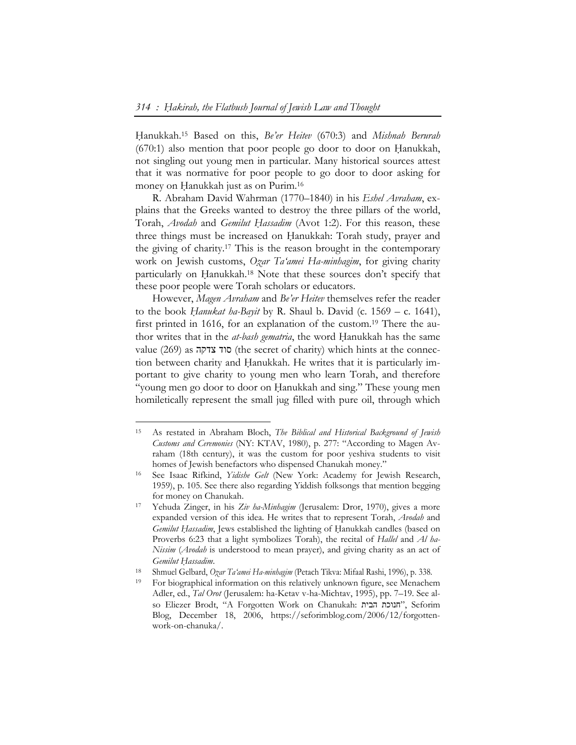Ḥanukkah.15 Based on this, *Be'er Heitev* (670:3) and *Mishnah Berurah*  $(670:1)$  also mention that poor people go door to door on Hanukkah, not singling out young men in particular. Many historical sources attest that it was normative for poor people to go door to door asking for money on Hanukkah just as on Purim.<sup>16</sup>

R. Abraham David Wahrman (1770–1840) in his *Eshel Avraham*, explains that the Greeks wanted to destroy the three pillars of the world, Torah, *Avodah* and *Gemilut Ḥassadim* (Avot 1:2). For this reason, these three things must be increased on Hanukkah: Torah study, prayer and the giving of charity.17 This is the reason brought in the contemporary work on Jewish customs, *Oẓar Ta'amei Ha-minhagim*, for giving charity particularly on Hanukkah.<sup>18</sup> Note that these sources don't specify that these poor people were Torah scholars or educators.

However, *Magen Avraham* and *Be'er Heitev* themselves refer the reader to the book *Ḥanukat ha-Bayit* by R. Shaul b. David (c. 1569 – c. 1641), first printed in 1616, for an explanation of the custom.19 There the author writes that in the *at-bash gematria*, the word Ḥanukkah has the same value (269) as צדקה סוד) the secret of charity) which hints at the connection between charity and Hanukkah. He writes that it is particularly important to give charity to young men who learn Torah, and therefore "young men go door to door on Hanukkah and sing." These young men homiletically represent the small jug filled with pure oil, through which

-

<sup>15</sup> As restated in Abraham Bloch, *The Biblical and Historical Background of Jewish Customs and Ceremonies* (NY: KTAV, 1980), p. 277: "According to Magen Avraham (18th century), it was the custom for poor yeshiva students to visit homes of Jewish benefactors who dispensed Chanukah money." 16 See Isaac Rifkind, *Yidishe Gelt* (New York: Academy for Jewish Research,

<sup>1959),</sup> p. 105. See there also regarding Yiddish folksongs that mention begging for money on Chanukah. 17 Yehuda Zinger, in his *Ziv ha-Minhagim* (Jerusalem: Dror, 1970), gives a more

expanded version of this idea. He writes that to represent Torah, *Avodah* and *Gemilut Hassadim*, Jews established the lighting of Hanukkah candles (based on Proverbs 6:23 that a light symbolizes Torah), the recital of *Hallel* and *Al ha-Nissim* (*Avodah* is understood to mean prayer), and giving charity as an act of Gemilut Hassadim.<br>
<sup>18</sup> Shmuel Gelbard, Ogar Ta'amei Ha-minhagim (Petach Tikva: Mifaal Rashi, 1996), p. 338.<br>
<sup>19</sup> For biographical information on this relatively unknown figure, see Menachem

Adler, ed., *Tal Orot* (Jerusalem: ha-Ketav v-ha-Michtav, 1995), pp. 7–19. See also Eliezer Brodt, "A Forgotten Work on Chanukah: הבית חנוכת", Seforim Blog, December 18, 2006, https://seforimblog.com/2006/12/forgottenwork-on-chanuka/.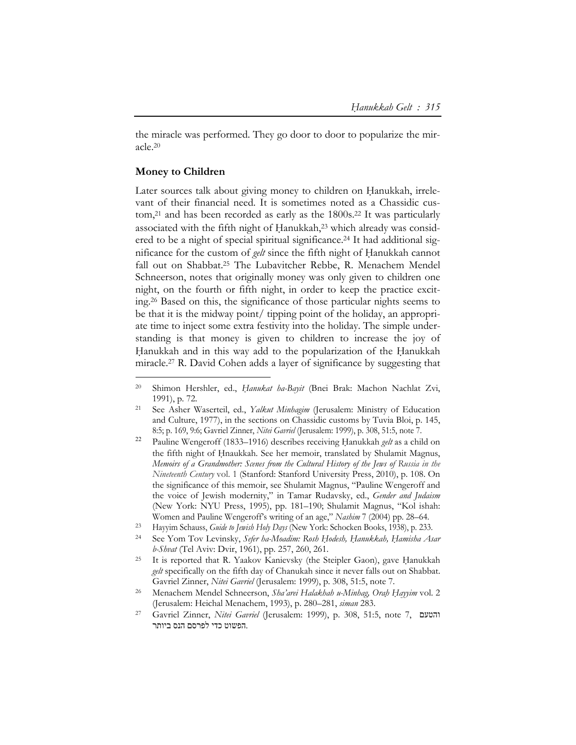the miracle was performed. They go door to door to popularize the miracle.20

## **Money to Children**

 $\overline{a}$ 

Later sources talk about giving money to children on Hanukkah, irrelevant of their financial need. It is sometimes noted as a Chassidic custom,<sup>21</sup> and has been recorded as early as the  $1800s$ .<sup>22</sup> It was particularly associated with the fifth night of Hanukkah,<sup>23</sup> which already was considered to be a night of special spiritual significance.24 It had additional significance for the custom of *gelt* since the fifth night of Ḥanukkah cannot fall out on Shabbat.25 The Lubavitcher Rebbe, R. Menachem Mendel Schneerson, notes that originally money was only given to children one night, on the fourth or fifth night, in order to keep the practice exciting.26 Based on this, the significance of those particular nights seems to be that it is the midway point/ tipping point of the holiday, an appropriate time to inject some extra festivity into the holiday. The simple understanding is that money is given to children to increase the joy of Hanukkah and in this way add to the popularization of the Hanukkah miracle.27 R. David Cohen adds a layer of significance by suggesting that

<sup>&</sup>lt;sup>20</sup> Shimon Hershler, ed., *Hanukat ha-Bayit* (Bnei Brak: Machon Nachlat Zvi, 1991), p. 72. 21 See Asher Waserteil, ed., *Yalkut Minhagim* (Jerusalem: Ministry of Education

and Culture, 1977), in the sections on Chassidic customs by Tuvia Bloi, p. 145, 8:5; p. 169, 9:6; Gavriel Zinner, *Nitei Gavriel* (Jerusalem: 1999), p. 308, 51:5, note 7.

<sup>&</sup>lt;sup>22</sup> Pauline Wengeroff (1833–1916) describes receiving Hanukkah *gelt* as a child on the fifth night of Hnaukkah. See her memoir, translated by Shulamit Magnus, *Memoirs of a Grandmother: Scenes from the Cultural History of the Jews of Russia in the Nineteenth Century* vol. 1 (Stanford: Stanford University Press, 2010), p. 108. On the significance of this memoir, see Shulamit Magnus, "Pauline Wengeroff and the voice of Jewish modernity," in Tamar Rudavsky, ed., *Gender and Judaism* (New York: NYU Press, 1995), pp. 181–190; Shulamit Magnus, "Kol ishah: Women and Pauline Wengeroff's writing of an age," *Nashim* 7 (2004) pp. 28–64.

<sup>23</sup> Hayyim Schauss, *Guide to Jewish Holy Days* (New York: Schocken Books, 1938), p. 233.

<sup>24</sup> See Yom Tov Levinsky, *Sefer ha-Moadim: Rosh Ḥodesh, Ḥanukkah, Ḥamisha Asar b-Shvat* (Tel Aviv: Dvir, 1961), pp. 257, 260, 261.<br><sup>25</sup> It is reported that R. Yaakov Kanievsky (the Steipler Gaon), gave Hanukkah

*gelt* specifically on the fifth day of Chanukah since it never falls out on Shabbat. Gavriel Zinner, *Nitei Gavriel* (Jerusalem: 1999), p. 308, 51:5, note 7.<br><sup>26</sup> Menachem Mendel Schneerson, *Sha'arei Halakhah u-Minhag*, *OrahHayyim* vol. 2

<sup>(</sup>Jerusalem: Heichal Menachem, 1993), p. 280–281, *siman* 283. 27 Gavriel Zinner, *Nitei Gavriel* (Jerusalem: 1999), p. 308, 51:5, note 7, והטעם

 <sup>.</sup>הפשוט כדי לפרסם הנס ביותר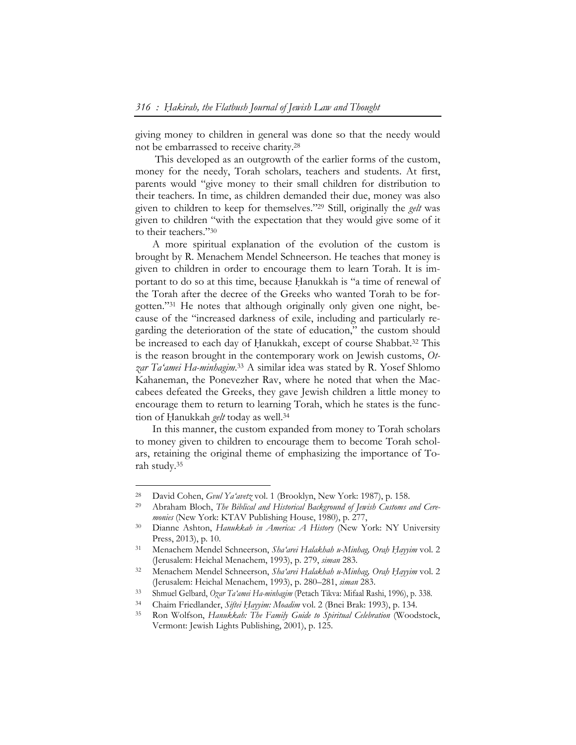giving money to children in general was done so that the needy would not be embarrassed to receive charity.28

This developed as an outgrowth of the earlier forms of the custom, money for the needy, Torah scholars, teachers and students. At first, parents would "give money to their small children for distribution to their teachers. In time, as children demanded their due, money was also given to children to keep for themselves."29 Still, originally the *gelt* was given to children "with the expectation that they would give some of it to their teachers."30

A more spiritual explanation of the evolution of the custom is brought by R. Menachem Mendel Schneerson. He teaches that money is given to children in order to encourage them to learn Torah. It is important to do so at this time, because Hanukkah is "a time of renewal of the Torah after the decree of the Greeks who wanted Torah to be forgotten."31 He notes that although originally only given one night, because of the "increased darkness of exile, including and particularly regarding the deterioration of the state of education," the custom should be increased to each day of Hanukkah, except of course Shabbat.<sup>32</sup> This is the reason brought in the contemporary work on Jewish customs, *Otzar Ta'amei Ha-minhagim*. 33 A similar idea was stated by R. Yosef Shlomo Kahaneman, the Ponevezher Rav, where he noted that when the Maccabees defeated the Greeks, they gave Jewish children a little money to encourage them to return to learning Torah, which he states is the function of Hanukkah *gelt* today as well.<sup>34</sup>

In this manner, the custom expanded from money to Torah scholars to money given to children to encourage them to become Torah scholars, retaining the original theme of emphasizing the importance of Torah study.35

 $\overline{a}$ 

<sup>&</sup>lt;sup>28</sup> David Cohen, *Gvul Ya'avetz* vol. 1 (Brooklyn, New York: 1987), p. 158.<br><sup>29</sup> Abraham Bloch, *The Biblical and Historical Background of Jewish Customs and Cere-*

*monies* (New York: KTAV Publishing House, 1980), p. 277,<br><sup>30</sup> Dianne Ashton, *Hanukkah in America: A History* (New York: NY University Press, 2013), p. 10. 31 Menachem Mendel Schneerson, *Sha'arei Halakhah u-Minhag, Oraḥ Ḥayyim* vol. 2

<sup>(</sup>Jerusalem: Heichal Menachem, 1993), p. 279, *siman* 283. 32 Menachem Mendel Schneerson, *Sha'arei Halakhah u-Minhag, Oraḥ Ḥayyim* vol. 2

<sup>(</sup>Jerusalem: Heichal Menachem, 1993), p. 280–281, *siman* 283.<br>
Shmuel Gelbard, *Ozar Ta'amei Ha-minhagim* (Petach Tikva: Mifaal Rashi, 1996), p. 338.<br>
Chaim Friedlander, *Siftei Hayyim: Moadim* vol. 2 (Bnei Brak: 1993), p. Vermont: Jewish Lights Publishing, 2001), p. 125.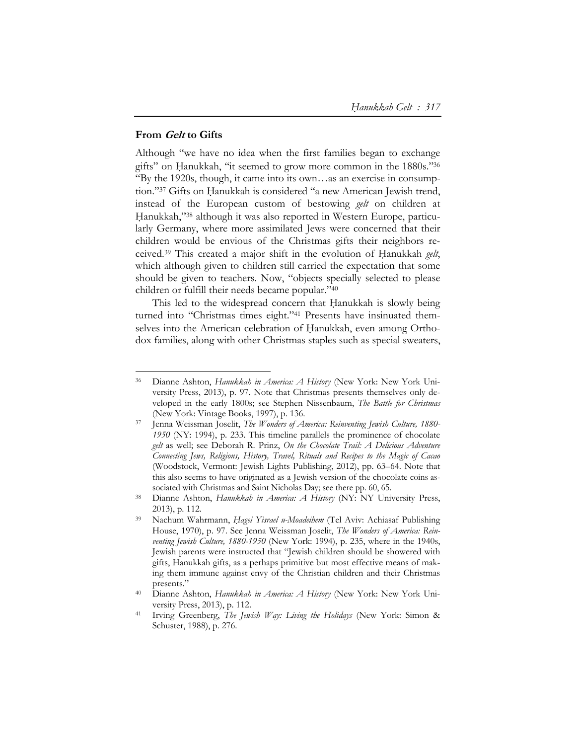### **From Gelt to Gifts**

 $\overline{a}$ 

Although "we have no idea when the first families began to exchange gifts" on Hanukkah, "it seemed to grow more common in the 1880s."36 "By the 1920s, though, it came into its own…as an exercise in consumption."37 Gifts on Hanukkah is considered "a new American Jewish trend, instead of the European custom of bestowing *gelt* on children at Hanukkah,"38 although it was also reported in Western Europe, particularly Germany, where more assimilated Jews were concerned that their children would be envious of the Christmas gifts their neighbors received.<sup>39</sup> This created a major shift in the evolution of Hanukkah *gelt*, which although given to children still carried the expectation that some should be given to teachers. Now, "objects specially selected to please children or fulfill their needs became popular."40

This led to the widespread concern that Hanukkah is slowly being turned into "Christmas times eight."41 Presents have insinuated themselves into the American celebration of Hanukkah, even among Orthodox families, along with other Christmas staples such as special sweaters,

<sup>36</sup> Dianne Ashton, *Hanukkah in America: A History* (New York: New York University Press, 2013), p. 97. Note that Christmas presents themselves only developed in the early 1800s; see Stephen Nissenbaum, *The Battle for Christmas*

<sup>(</sup>New York: Vintage Books, 1997), p. 136. 37 Jenna Weissman Joselit, *The Wonders of America: Reinventing Jewish Culture, 1880- 1950* (NY: 1994), p. 233. This timeline parallels the prominence of chocolate *gelt* as well; see Deborah R. Prinz, *On the Chocolate Trail: A Delicious Adventure Connecting Jews, Religions, History, Travel, Rituals and Recipes to the Magic of Cacao* (Woodstock, Vermont: Jewish Lights Publishing, 2012), pp. 63–64. Note that this also seems to have originated as a Jewish version of the chocolate coins associated with Christmas and Saint Nicholas Day; see there pp. 60, 65.

<sup>38</sup> Dianne Ashton, *Hanukkah in America: A History* (NY: NY University Press,

<sup>2013),</sup> p. 112. 39 Nachum Wahrmann, *Ḥagei Yisrael u-Moadeihem* (Tel Aviv: Achiasaf Publishing House, 1970), p. 97. See Jenna Weissman Joselit, *The Wonders of America: Reinventing Jewish Culture, 1880-1950* (New York: 1994), p. 235, where in the 1940s, Jewish parents were instructed that "Jewish children should be showered with gifts, Hanukkah gifts, as a perhaps primitive but most effective means of making them immune against envy of the Christian children and their Christmas presents." 40 Dianne Ashton, *Hanukkah in America: A History* (New York: New York Uni-

versity Press, 2013), p. 112. 41 Irving Greenberg, *The Jewish Way: Living the Holidays* (New York: Simon &

Schuster, 1988), p. 276.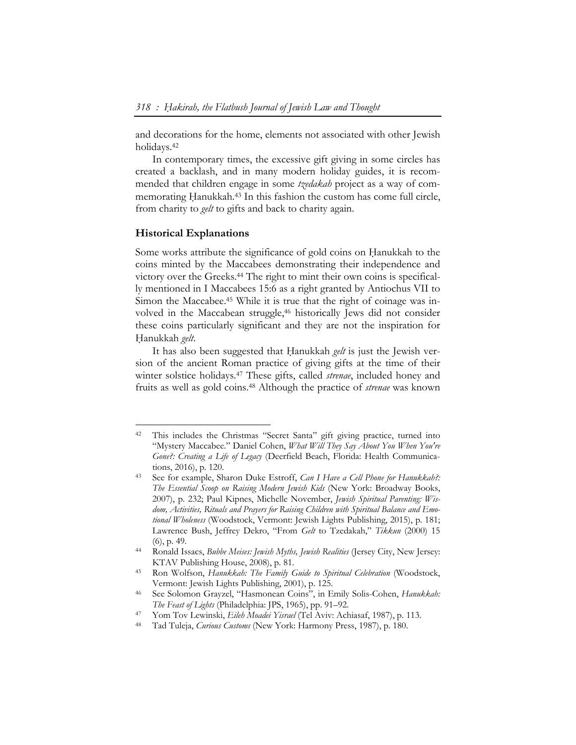and decorations for the home, elements not associated with other Jewish holidays.42

In contemporary times, the excessive gift giving in some circles has created a backlash, and in many modern holiday guides, it is recommended that children engage in some *tzedakah* project as a way of commemorating Hanukkah.<sup>43</sup> In this fashion the custom has come full circle, from charity to *gelt* to gifts and back to charity again.

#### **Historical Explanations**

 $\overline{a}$ 

Some works attribute the significance of gold coins on Hanukkah to the coins minted by the Maccabees demonstrating their independence and victory over the Greeks.44 The right to mint their own coins is specifically mentioned in I Maccabees 15:6 as a right granted by Antiochus VII to Simon the Maccabee.<sup>45</sup> While it is true that the right of coinage was involved in the Maccabean struggle,46 historically Jews did not consider these coins particularly significant and they are not the inspiration for Hanukkah *gelt*.

It has also been suggested that Hanukkah *gelt* is just the Jewish version of the ancient Roman practice of giving gifts at the time of their winter solstice holidays.47 These gifts, called *strenae*, included honey and fruits as well as gold coins.48 Although the practice of *strenae* was known

<sup>42</sup> This includes the Christmas "Secret Santa" gift giving practice, turned into "Mystery Maccabee." Daniel Cohen, *What Will They Say About You When You're Gone?: Creating a Life of Legacy* (Deerfield Beach, Florida: Health Communications, 2016), p. 120.<br><sup>43</sup> See for example, Sharon Duke Estroff, *Can I Have a Cell Phone for Hanukkah?*:

*The Essential Scoop on Raising Modern Jewish Kids* (New York: Broadway Books, 2007), p. 232; Paul Kipnes, Michelle November, *Jewish Spiritual Parenting: Wisdom, Activities, Rituals and Prayers for Raising Children with Spiritual Balance and Emotional Wholeness* (Woodstock, Vermont: Jewish Lights Publishing, 2015), p. 181; Lawrence Bush, Jeffrey Dekro, "From *Gelt* to Tzedakah," *Tikkun* (2000) 15 (6), p. 49. 44 Ronald Issacs, *Bubbe Meises: Jewish Myths, Jewish Realities* (Jersey City, New Jersey:

KTAV Publishing House, 2008), p. 81. 45 Ron Wolfson, *Hanukkah: The Family Guide to Spiritual Celebration* (Woodstock,

Vermont: Jewish Lights Publishing, 2001), p. 125. 46 See Solomon Grayzel, "Hasmonean Coins", in Emily Solis-Cohen, *Hanukkah:* 

The Feast of Lights (Philadelphia: JPS, 1965), pp. 91–92.<br><sup>47</sup> Yom Tov Lewinski, *Eileh Moadei Yisrael* (Tel Aviv: Achiasaf, 1987), p. 113.<br><sup>48</sup> Tad Tuleja, *Curious Customs* (New York: Harmony Press, 1987), p. 180.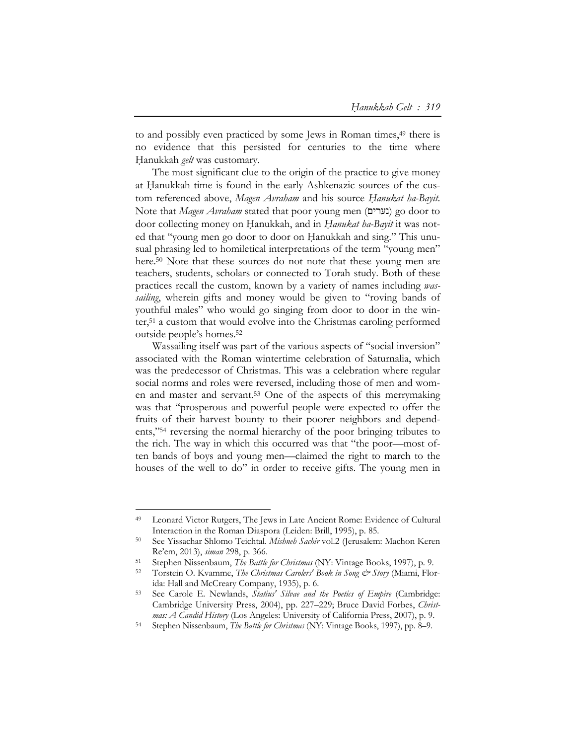to and possibly even practiced by some Jews in Roman times,<sup>49</sup> there is no evidence that this persisted for centuries to the time where Hanukkah *gelt* was customary.

The most significant clue to the origin of the practice to give money at Hanukkah time is found in the early Ashkenazic sources of the custom referenced above, *Magen Avraham* and his source *Ḥanukat ha-Bayit*. Note that *Magen Avraham* stated that poor young men (נערים (go door to door collecting money on Ḥanukkah, and in *Ḥanukat ha-Bayit* it was noted that "young men go door to door on Hanukkah and sing." This unusual phrasing led to homiletical interpretations of the term "young men" here.<sup>50</sup> Note that these sources do not note that these young men are teachers, students, scholars or connected to Torah study. Both of these practices recall the custom, known by a variety of names including *wassailing*, wherein gifts and money would be given to "roving bands of youthful males" who would go singing from door to door in the winter,51 a custom that would evolve into the Christmas caroling performed outside people's homes.52

Wassailing itself was part of the various aspects of "social inversion" associated with the Roman wintertime celebration of Saturnalia, which was the predecessor of Christmas. This was a celebration where regular social norms and roles were reversed, including those of men and women and master and servant.53 One of the aspects of this merrymaking was that "prosperous and powerful people were expected to offer the fruits of their harvest bounty to their poorer neighbors and dependents,"54 reversing the normal hierarchy of the poor bringing tributes to the rich. The way in which this occurred was that "the poor—most often bands of boys and young men—claimed the right to march to the houses of the well to do" in order to receive gifts. The young men in

-

<sup>49</sup> Leonard Victor Rutgers, The Jews in Late Ancient Rome: Evidence of Cultural

Interaction in the Roman Diaspora (Leiden: Brill, 1995), p. 85. 50 See Yissachar Shlomo Teichtal. *Mishneh Sachir* vol.2 (Jerusalem: Machon Keren Re'em, 2013), *siman* 298, p. 366.<br>
<sup>51</sup> Stephen Nissenbaum, *The Battle for Christmas* (NY: Vintage Books, 1997), p. 9.<br>
<sup>52</sup> Torstein O. Kvamme, *The Christmas Carolers' Book in Song & Story* (Miami, Flor-

ida: Hall and McCreary Company, 1935), p. 6.

<sup>53</sup> See Carole E. Newlands, *Statius' Silvae and the Poetics of Empire* (Cambridge: Cambridge University Press, 2004), pp. 227–229; Bruce David Forbes, *Christ-*

*mas: A Candid History* (Los Angeles: University of California Press, 2007), p. 9.<br><sup>54</sup> Stephen Nissenbaum, *The Battle for Christmas* (NY: Vintage Books, 1997), pp. 8–9.